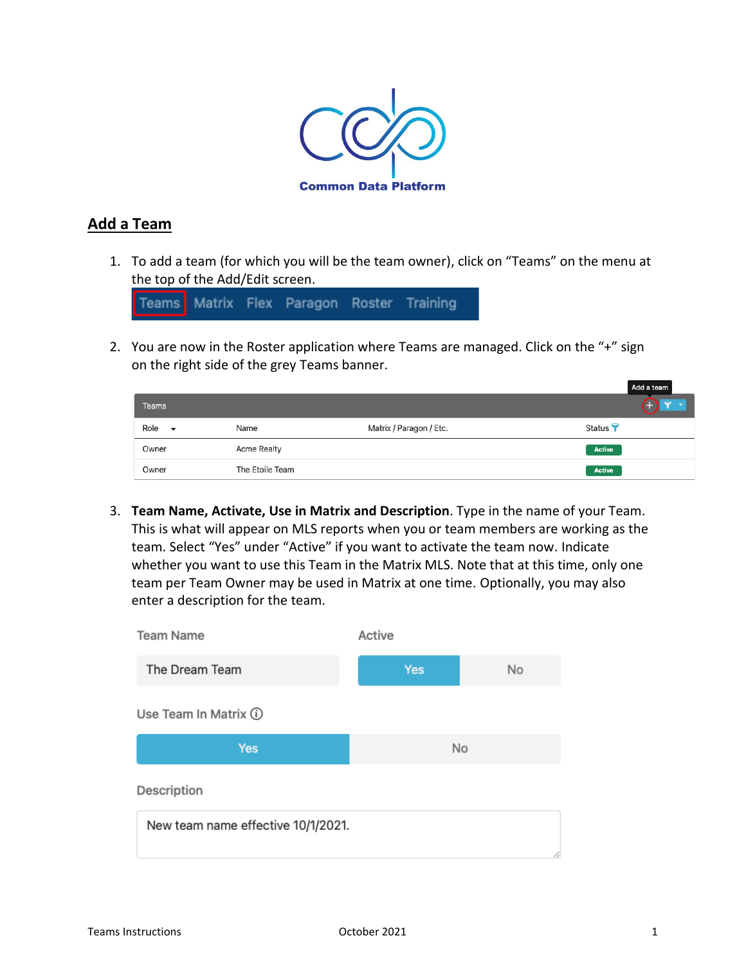

# **Add a Team**

1. To add a team (for which you will be the team owner), click on "Teams" on the menu at the top of the Add/Edit screen.

Teams Matrix Flex Paragon Roster Training

2. You are now in the Roster application where Teams are managed. Click on the "+" sign on the right side of the grey Teams banner.

|                                  |                    |                         | Add a team         |
|----------------------------------|--------------------|-------------------------|--------------------|
| <b>Teams</b>                     |                    |                         |                    |
| Role<br>$\overline{\phantom{a}}$ | Name               | Matrix / Paragon / Etc. | Status <sup></sup> |
| Owner                            | <b>Acme Realty</b> |                         | Active             |
| Owner                            | The Etoile Team    |                         | Active             |

3. **Team Name, Activate, Use in Matrix and Description**. Type in the name of your Team. This is what will appear on MLS reports when you or team members are working as the team. Select "Yes" under "Active" if you want to activate the team now. Indicate whether you want to use this Team in the Matrix MLS. Note that at this time, only one team per Team Owner may be used in Matrix at one time. Optionally, you may also enter a description for the team.

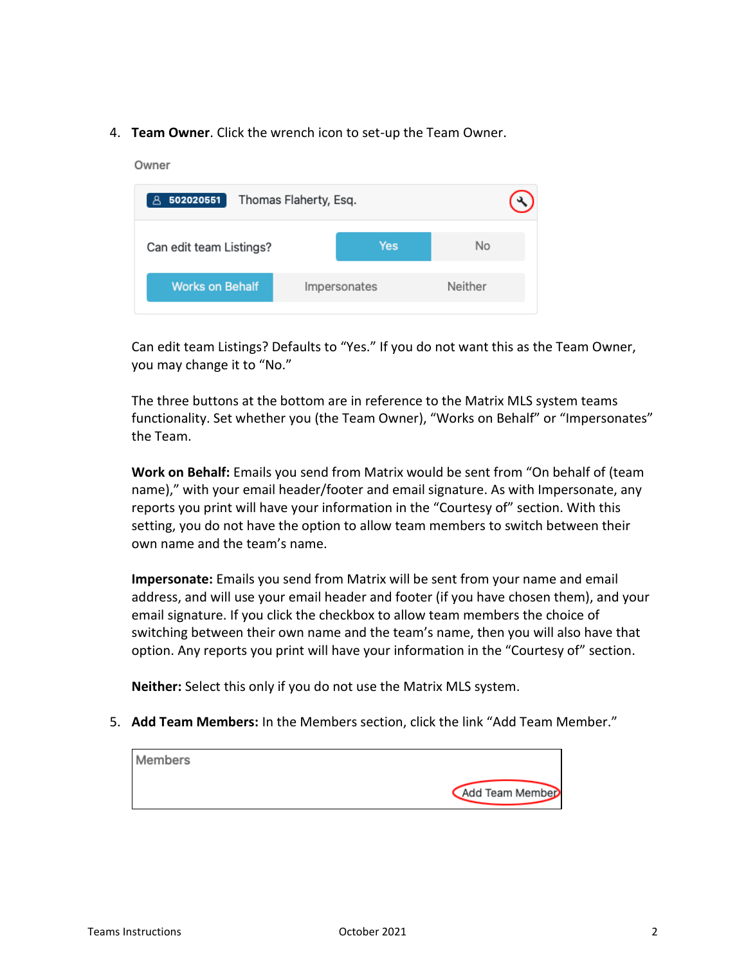4. **Team Owner**. Click the wrench icon to set-up the Team Owner.

# Owner 8 502020551 Thomas Flaherty, Esq. Can edit team Listings? **Yes No** Impersonates Neither **Works on Behalf**

Can edit team Listings? Defaults to "Yes." If you do not want this as the Team Owner, you may change it to "No."

The three buttons at the bottom are in reference to the Matrix MLS system teams functionality. Set whether you (the Team Owner), "Works on Behalf" or "Impersonates" the Team.

**Work on Behalf:** Emails you send from Matrix would be sent from "On behalf of (team name)," with your email header/footer and email signature. As with Impersonate, any reports you print will have your information in the "Courtesy of" section. With this setting, you do not have the option to allow team members to switch between their own name and the team's name.

**Impersonate:** Emails you send from Matrix will be sent from your name and email address, and will use your email header and footer (if you have chosen them), and your email signature. If you click the checkbox to allow team members the choice of switching between their own name and the team's name, then you will also have that option. Any reports you print will have your information in the "Courtesy of" section.

**Neither:** Select this only if you do not use the Matrix MLS system.

5. **Add Team Members:** In the Members section, click the link "Add Team Member."

| Members |                 |
|---------|-----------------|
|         | Add Team Member |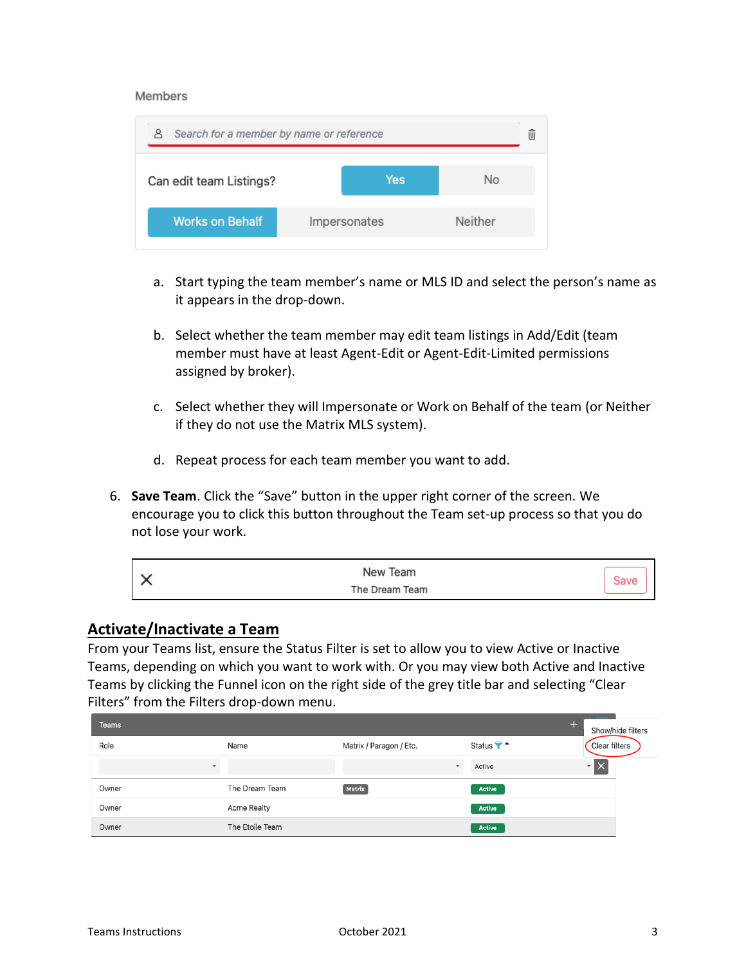#### Members

| Search for a member by name or reference<br>д |              |     |         |  |
|-----------------------------------------------|--------------|-----|---------|--|
| Can edit team Listings?                       |              | Yes | No      |  |
| <b>Works on Behalf</b>                        | Impersonates |     | Neither |  |

- a. Start typing the team member's name or MLS ID and select the person's name as it appears in the drop-down.
- b. Select whether the team member may edit team listings in Add/Edit (team member must have at least Agent-Edit or Agent-Edit-Limited permissions assigned by broker).
- c. Select whether they will Impersonate or Work on Behalf of the team (or Neither if they do not use the Matrix MLS system).
- d. Repeat process for each team member you want to add.
- 6. **Save Team**. Click the "Save" button in the upper right corner of the screen. We encourage you to click this button throughout the Team set-up process so that you do not lose your work.

| $\sim$ | New Team       |  |
|--------|----------------|--|
| ⌒      | The Dream Team |  |

### **Activate/Inactivate a Team**

From your Teams list, ensure the Status Filter is set to allow you to view Active or Inactive Teams, depending on which you want to work with. Or you may view both Active and Inactive Teams by clicking the Funnel icon on the right side of the grey title bar and selecting "Clear Filters" from the Filters drop-down menu.

| <b>Teams</b>             |                 |                          |               | Show/hide filters |
|--------------------------|-----------------|--------------------------|---------------|-------------------|
| Role                     | Name            | Matrix / Paragon / Etc.  | Status ? -    | Clear filters     |
| $\overline{\phantom{a}}$ |                 | $\overline{\phantom{a}}$ | Active        | ∼l>               |
| Owner                    | The Dream Team  | <b>Matrix</b>            | <b>Active</b> |                   |
| Owner                    | Acme Realty     |                          | Active        |                   |
| Owner                    | The Etoile Team |                          | <b>Active</b> |                   |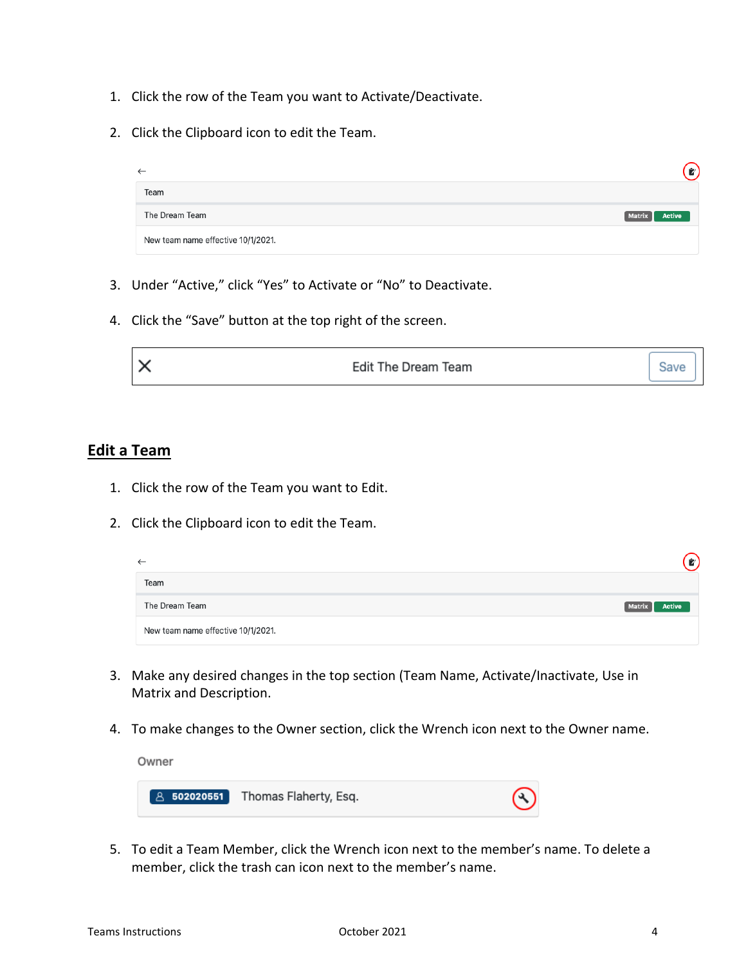- 1. Click the row of the Team you want to Activate/Deactivate.
- 2. Click the Clipboard icon to edit the Team.

| $\leftarrow$                       | $\mathbf{z}$            |
|------------------------------------|-------------------------|
| Team                               |                         |
| The Dream Team                     | Active<br><b>Matrix</b> |
| New team name effective 10/1/2021. |                         |

- 3. Under "Active," click "Yes" to Activate or "No" to Deactivate.
- 4. Click the "Save" button at the top right of the screen.

|  | Edit The Dream Team<br>∼ | - |  |
|--|--------------------------|---|--|
|--|--------------------------|---|--|

# **Edit a Team**

- 1. Click the row of the Team you want to Edit.
- 2. Click the Clipboard icon to edit the Team.

| $\leftarrow$                       |                         |
|------------------------------------|-------------------------|
| Team                               |                         |
| The Dream Team                     | Active<br><b>Matrix</b> |
| New team name effective 10/1/2021. |                         |

- 3. Make any desired changes in the top section (Team Name, Activate/Inactivate, Use in Matrix and Description.
- 4. To make changes to the Owner section, click the Wrench icon next to the Owner name.

Owner



5. To edit a Team Member, click the Wrench icon next to the member's name. To delete a member, click the trash can icon next to the member's name.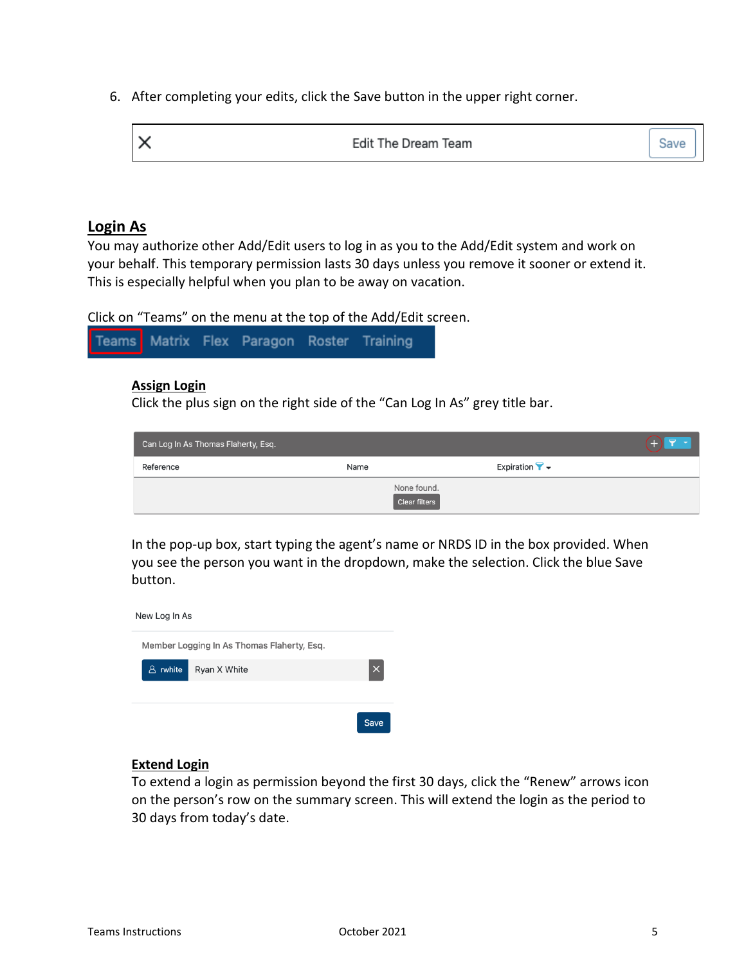6. After completing your edits, click the Save button in the upper right corner.

| $\mathsf{I}\times$  | $\sim$ |
|---------------------|--------|
| Edit The Dream Team | Save   |

### **Login As**

You may authorize other Add/Edit users to log in as you to the Add/Edit system and work on your behalf. This temporary permission lasts 30 days unless you remove it sooner or extend it. This is especially helpful when you plan to be away on vacation.

Click on "Teams" on the menu at the top of the Add/Edit screen.

Teams Matrix Flex Paragon Roster Training

#### **Assign Login**

Click the plus sign on the right side of the "Can Log In As" grey title bar.

| Can Log In As Thomas Flaherty, Esq. |                              |                                                      |
|-------------------------------------|------------------------------|------------------------------------------------------|
| Reference                           | Name                         | Expiration $\blacktriangledown$ $\blacktriangledown$ |
|                                     | None found.<br>Clear filters |                                                      |

In the pop-up box, start typing the agent's name or NRDS ID in the box provided. When you see the person you want in the dropdown, make the selection. Click the blue Save button.



#### **Extend Login**

To extend a login as permission beyond the first 30 days, click the "Renew" arrows icon on the person's row on the summary screen. This will extend the login as the period to 30 days from today's date.